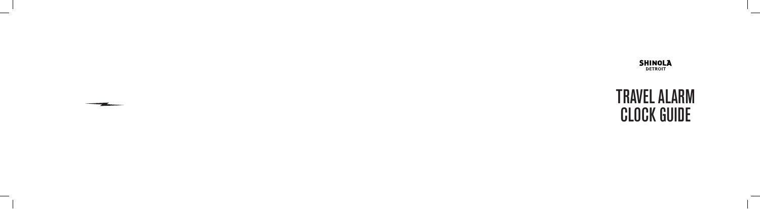$\overline{\phantom{a}}$ 

 $\overline{\phantom{a}}$ 



 $\sim$ 

 $\sim$ 

# TRAVEL ALARM CLOCK GUIDE